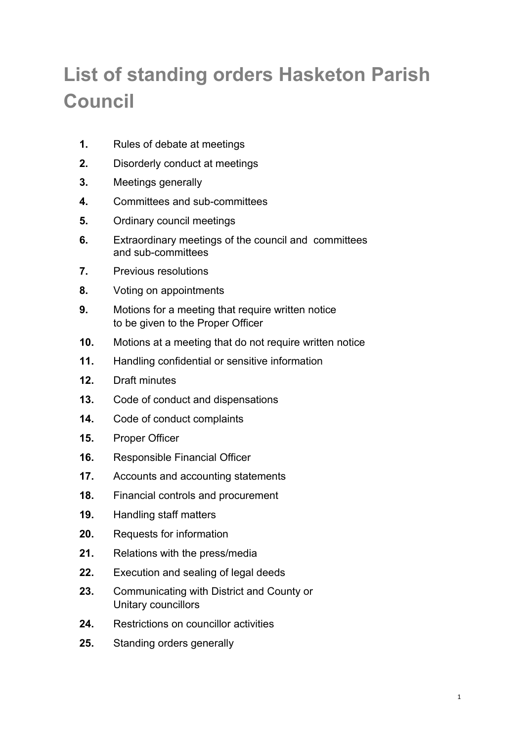# **List of standing orders Hasketon Parish Council**

- **1.** Rules of debate at meetings
- **2.** Disorderly conduct at meetings
- **3.** Meetings generally
- **4.** Committees and sub-committees
- **5.** Ordinary council meetings
- **6.** Extraordinary meetings of the council and committees and sub-committees
- **7.** Previous resolutions
- **8.** Voting on appointments
- **9.** Motions for a meeting that require written notice to be given to the Proper Officer
- **10.** Motions at a meeting that do not require written notice
- **11.** Handling confidential or sensitive information
- **12.** Draft minutes
- **13.** Code of conduct and dispensations
- **14.** Code of conduct complaints
- **15.** Proper Officer
- **16.** Responsible Financial Officer
- **17.** Accounts and accounting statements
- **18.** Financial controls and procurement
- **19.** Handling staff matters
- **20.** Requests for information
- **21.** Relations with the press/media
- **22.** Execution and sealing of legal deeds
- **23.** Communicating with District and County or Unitary councillors
- **24.** Restrictions on councillor activities
- **25.** Standing orders generally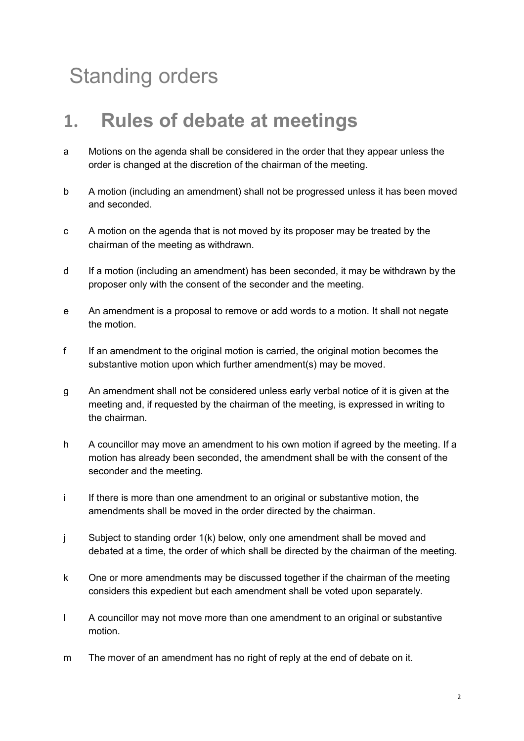# Standing orders

#### **1. Rules of debate at meetings**

- a Motions on the agenda shall be considered in the order that they appear unless the order is changed at the discretion of the chairman of the meeting.
- b A motion (including an amendment) shall not be progressed unless it has been moved and seconded.
- c A motion on the agenda that is not moved by its proposer may be treated by the chairman of the meeting as withdrawn.
- d If a motion (including an amendment) has been seconded, it may be withdrawn by the proposer only with the consent of the seconder and the meeting.
- e An amendment is a proposal to remove or add words to a motion. It shall not negate the motion.
- f If an amendment to the original motion is carried, the original motion becomes the substantive motion upon which further amendment(s) may be moved.
- g An amendment shall not be considered unless early verbal notice of it is given at the meeting and, if requested by the chairman of the meeting, is expressed in writing to the chairman.
- h A councillor may move an amendment to his own motion if agreed by the meeting. If a motion has already been seconded, the amendment shall be with the consent of the seconder and the meeting.
- i If there is more than one amendment to an original or substantive motion, the amendments shall be moved in the order directed by the chairman.
- j Subject to standing order 1(k) below, only one amendment shall be moved and debated at a time, the order of which shall be directed by the chairman of the meeting.
- k One or more amendments may be discussed together if the chairman of the meeting considers this expedient but each amendment shall be voted upon separately.
- l A councillor may not move more than one amendment to an original or substantive motion.
- m The mover of an amendment has no right of reply at the end of debate on it.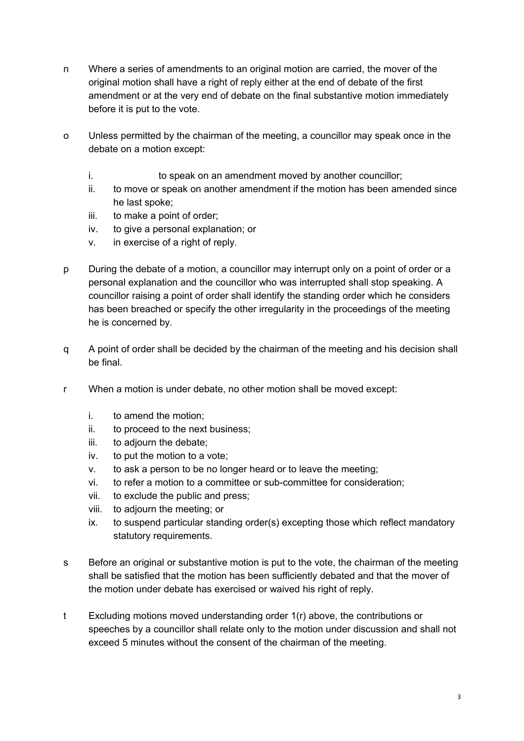- n Where a series of amendments to an original motion are carried, the mover of the original motion shall have a right of reply either at the end of debate of the first amendment or at the very end of debate on the final substantive motion immediately before it is put to the vote.
- o Unless permitted by the chairman of the meeting, a councillor may speak once in the debate on a motion except:
	- i. to speak on an amendment moved by another councillor;
	- ii. to move or speak on another amendment if the motion has been amended since he last spoke;
	- iii. to make a point of order;
	- iv. to give a personal explanation; or
	- v. in exercise of a right of reply.
- p During the debate of a motion, a councillor may interrupt only on a point of order or a personal explanation and the councillor who was interrupted shall stop speaking. A councillor raising a point of order shall identify the standing order which he considers has been breached or specify the other irregularity in the proceedings of the meeting he is concerned by.
- q A point of order shall be decided by the chairman of the meeting and his decision shall be final.
- r When a motion is under debate, no other motion shall be moved except:
	- i. to amend the motion;
	- ii. to proceed to the next business;
	- iii. to adjourn the debate;
	- iv. to put the motion to a vote;
	- v. to ask a person to be no longer heard or to leave the meeting;
	- vi. to refer a motion to a committee or sub-committee for consideration;
	- vii. to exclude the public and press;
	- viii. to adjourn the meeting; or
	- ix. to suspend particular standing order(s) excepting those which reflect mandatory statutory requirements.
- s Before an original or substantive motion is put to the vote, the chairman of the meeting shall be satisfied that the motion has been sufficiently debated and that the mover of the motion under debate has exercised or waived his right of reply.
- t Excluding motions moved understanding order 1(r) above, the contributions or speeches by a councillor shall relate only to the motion under discussion and shall not exceed 5 minutes without the consent of the chairman of the meeting.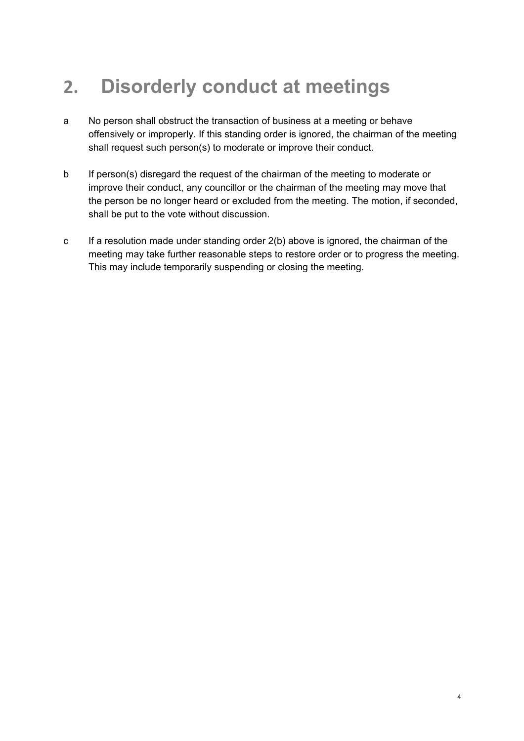## **2. Disorderly conduct at meetings**

- a No person shall obstruct the transaction of business at a meeting or behave offensively or improperly. If this standing order is ignored, the chairman of the meeting shall request such person(s) to moderate or improve their conduct.
- b If person(s) disregard the request of the chairman of the meeting to moderate or improve their conduct, any councillor or the chairman of the meeting may move that the person be no longer heard or excluded from the meeting. The motion, if seconded, shall be put to the vote without discussion.
- c If a resolution made under standing order 2(b) above is ignored, the chairman of the meeting may take further reasonable steps to restore order or to progress the meeting. This may include temporarily suspending or closing the meeting.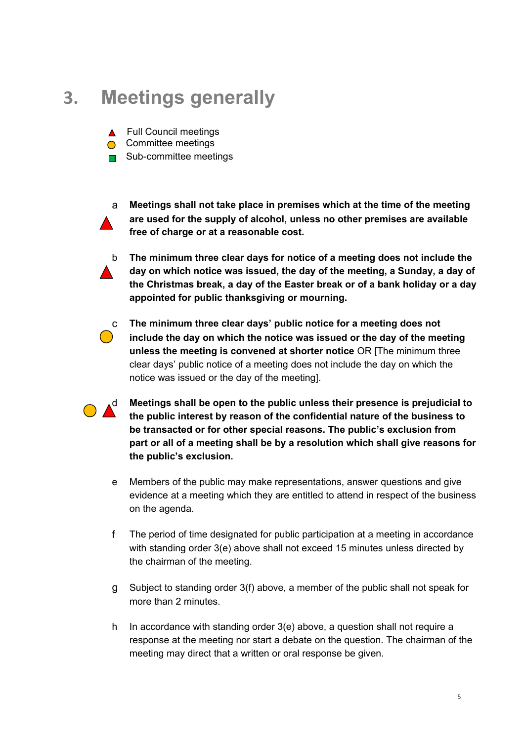#### **3. Meetings generally**

- ▲ Full Council meetings
- **Committee meetings**
- **□** Sub-committee meetings



a **Meetings shall not take place in premises which at the time of the meeting are used for the supply of alcohol, unless no other premises are available free of charge or at a reasonable cost.** 



b **The minimum three clear days for notice of a meeting does not include the day on which notice was issued, the day of the meeting, a Sunday, a day of the Christmas break, a day of the Easter break or of a bank holiday or a day appointed for public thanksgiving or mourning.**



c **The minimum three clear days' public notice for a meeting does not include the day on which the notice was issued or the day of the meeting unless the meeting is convened at shorter notice** OR [The minimum three clear days' public notice of a meeting does not include the day on which the notice was issued or the day of the meeting].

d **Meetings shall be open to the public unless their presence is prejudicial to the public interest by reason of the confidential nature of the business to be transacted or for other special reasons. The public's exclusion from part or all of a meeting shall be by a resolution which shall give reasons for the public's exclusion.**

- e Members of the public may make representations, answer questions and give evidence at a meeting which they are entitled to attend in respect of the business on the agenda.
- f The period of time designated for public participation at a meeting in accordance with standing order 3(e) above shall not exceed 15 minutes unless directed by the chairman of the meeting.
- g Subject to standing order 3(f) above, a member of the public shall not speak for more than 2 minutes.
- h In accordance with standing order 3(e) above, a question shall not require a response at the meeting nor start a debate on the question. The chairman of the meeting may direct that a written or oral response be given.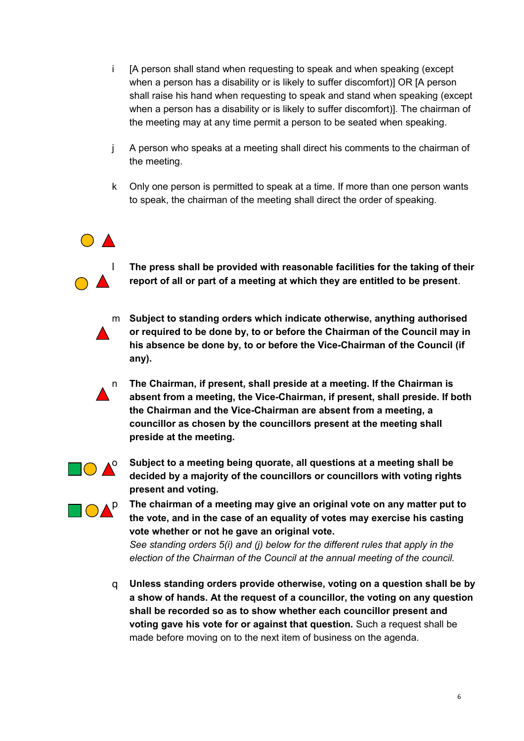- i [A person shall stand when requesting to speak and when speaking (except when a person has a disability or is likely to suffer discomfort)] OR [A person shall raise his hand when requesting to speak and stand when speaking (except when a person has a disability or is likely to suffer discomfort)]. The chairman of the meeting may at any time permit a person to be seated when speaking.
- j A person who speaks at a meeting shall direct his comments to the chairman of the meeting.
- k Only one person is permitted to speak at a time. If more than one person wants to speak, the chairman of the meeting shall direct the order of speaking.



l **The press shall be provided with reasonable facilities for the taking of their report of all or part of a meeting at which they are entitled to be present**.



m **Subject to standing orders which indicate otherwise, anything authorised or required to be done by, to or before the Chairman of the Council may in his absence be done by, to or before the Vice-Chairman of the Council (if any).**

n **The Chairman, if present, shall preside at a meeting. If the Chairman is absent from a meeting, the Vice-Chairman, if present, shall preside. If both the Chairman and the Vice-Chairman are absent from a meeting, a councillor as chosen by the councillors present at the meeting shall preside at the meeting.**



**o** Subject to a meeting being quorate, all questions at a meeting shall be **decided by a majority of the councillors or councillors with voting rights present and voting.**



**p The chairman of a meeting may give an original vote on any matter put to <br><b>A the vote and in the assessed we arrive to a function of the set of the set of the set of the set of the set of the set of the set of the s the vote, and in the case of an equality of votes may exercise his casting vote whether or not he gave an original vote.**

> *See standing orders 5(i) and (j) below for the different rules that apply in the election of the Chairman of the Council at the annual meeting of the council.*

q **Unless standing orders provide otherwise, voting on a question shall be by a show of hands. At the request of a councillor, the voting on any question shall be recorded so as to show whether each councillor present and voting gave his vote for or against that question.** Such a request shall be made before moving on to the next item of business on the agenda.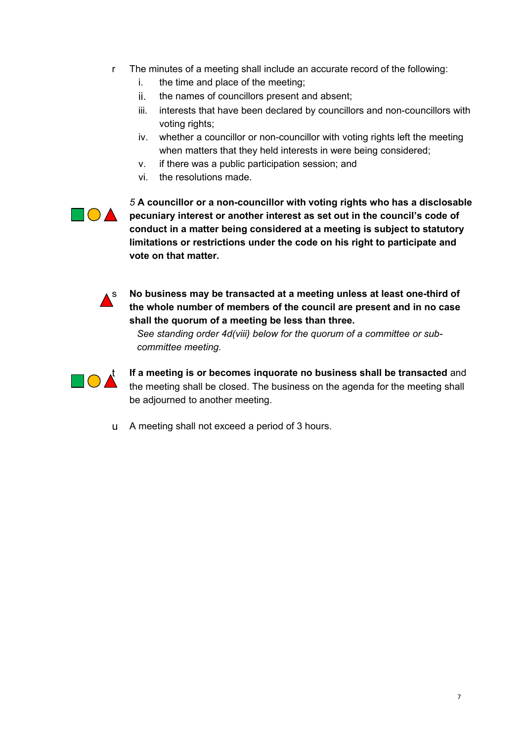- r The minutes of a meeting shall include an accurate record of the following:
	- i. the time and place of the meeting;
	- ii. the names of councillors present and absent;
	- iii. interests that have been declared by councillors and non-councillors with voting rights;
	- iv. whether a councillor or non-councillor with voting rights left the meeting when matters that they held interests in were being considered;
	- v. if there was a public participation session; and
	- vi. the resolutions made.



*5* **A councillor or a non-councillor with voting rights who has a disclosable pecuniary interest or another interest as set out in the council's code of conduct in a matter being considered at a meeting is subject to statutory limitations or restrictions under the code on his right to participate and vote on that matter.**



s **No business may be transacted at a meeting unless at least one-third of the whole number of members of the council are present and in no case shall the quorum of a meeting be less than three.**

*See standing order 4d(viii) below for the quorum of a committee or subcommittee meeting.* 



**If a meeting is or becomes inquorate no business shall be transacted** and the meeting shall be transacted and  $\sum_{i=1}^{n}$ the meeting shall be closed. The business on the agenda for the meeting shall be adjourned to another meeting.

u A meeting shall not exceed a period of 3 hours.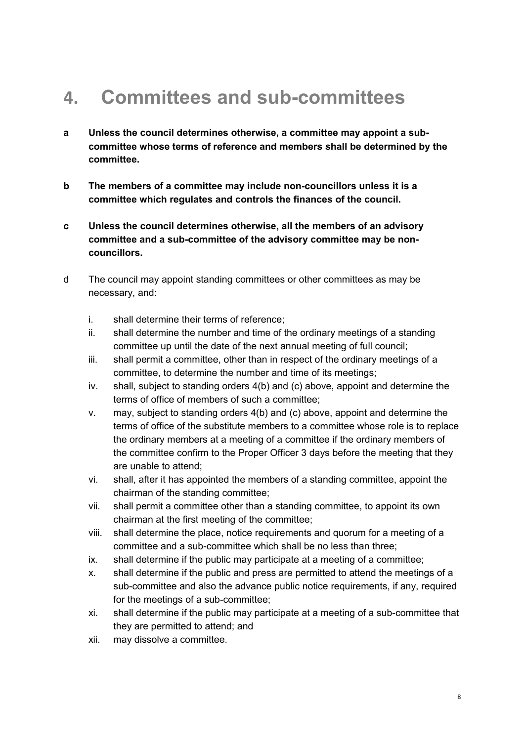#### **4. Committees and sub-committees**

- **a Unless the council determines otherwise, a committee may appoint a subcommittee whose terms of reference and members shall be determined by the committee.**
- **b The members of a committee may include non-councillors unless it is a committee which regulates and controls the finances of the council.**
- **c Unless the council determines otherwise, all the members of an advisory committee and a sub-committee of the advisory committee may be noncouncillors.**
- d The council may appoint standing committees or other committees as may be necessary, and:
	- i. shall determine their terms of reference;
	- ii. shall determine the number and time of the ordinary meetings of a standing committee up until the date of the next annual meeting of full council;
	- iii. shall permit a committee, other than in respect of the ordinary meetings of a committee, to determine the number and time of its meetings;
	- iv. shall, subject to standing orders 4(b) and (c) above, appoint and determine the terms of office of members of such a committee;
	- v. may, subject to standing orders 4(b) and (c) above, appoint and determine the terms of office of the substitute members to a committee whose role is to replace the ordinary members at a meeting of a committee if the ordinary members of the committee confirm to the Proper Officer 3 days before the meeting that they are unable to attend;
	- vi. shall, after it has appointed the members of a standing committee, appoint the chairman of the standing committee;
	- vii. shall permit a committee other than a standing committee, to appoint its own chairman at the first meeting of the committee;
	- viii. shall determine the place, notice requirements and quorum for a meeting of a committee and a sub-committee which shall be no less than three;
	- ix. shall determine if the public may participate at a meeting of a committee;
	- x. shall determine if the public and press are permitted to attend the meetings of a sub-committee and also the advance public notice requirements, if any, required for the meetings of a sub-committee;
	- xi. shall determine if the public may participate at a meeting of a sub-committee that they are permitted to attend; and
	- xii. may dissolve a committee.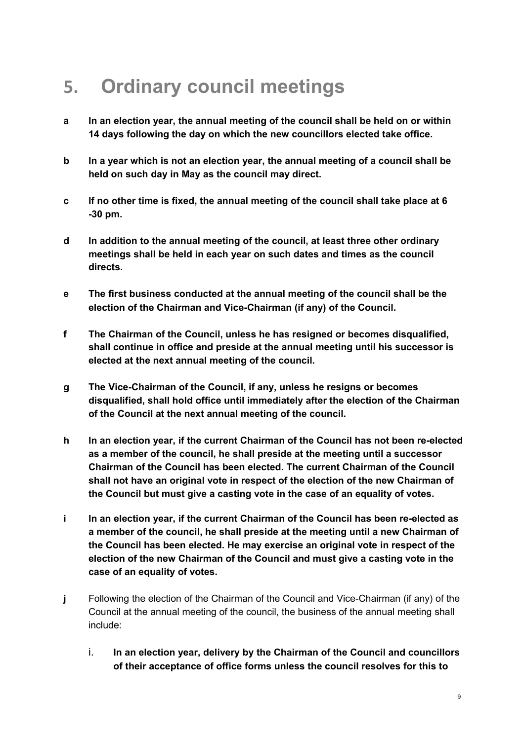#### **5. Ordinary council meetings**

- **a In an election year, the annual meeting of the council shall be held on or within 14 days following the day on which the new councillors elected take office.**
- **b In a year which is not an election year, the annual meeting of a council shall be held on such day in May as the council may direct.**
- **c If no other time is fixed, the annual meeting of the council shall take place at 6 -30 pm.**
- **d In addition to the annual meeting of the council, at least three other ordinary meetings shall be held in each year on such dates and times as the council directs.**
- **e The first business conducted at the annual meeting of the council shall be the election of the Chairman and Vice-Chairman (if any) of the Council.**
- **f The Chairman of the Council, unless he has resigned or becomes disqualified, shall continue in office and preside at the annual meeting until his successor is elected at the next annual meeting of the council.**
- **g The Vice-Chairman of the Council, if any, unless he resigns or becomes disqualified, shall hold office until immediately after the election of the Chairman of the Council at the next annual meeting of the council.**
- **h In an election year, if the current Chairman of the Council has not been re-elected as a member of the council, he shall preside at the meeting until a successor Chairman of the Council has been elected. The current Chairman of the Council shall not have an original vote in respect of the election of the new Chairman of the Council but must give a casting vote in the case of an equality of votes.**
- **i In an election year, if the current Chairman of the Council has been re-elected as a member of the council, he shall preside at the meeting until a new Chairman of the Council has been elected. He may exercise an original vote in respect of the election of the new Chairman of the Council and must give a casting vote in the case of an equality of votes.**
- **j** Following the election of the Chairman of the Council and Vice-Chairman (if any) of the Council at the annual meeting of the council, the business of the annual meeting shall include:
	- i. **In an election year, delivery by the Chairman of the Council and councillors of their acceptance of office forms unless the council resolves for this to**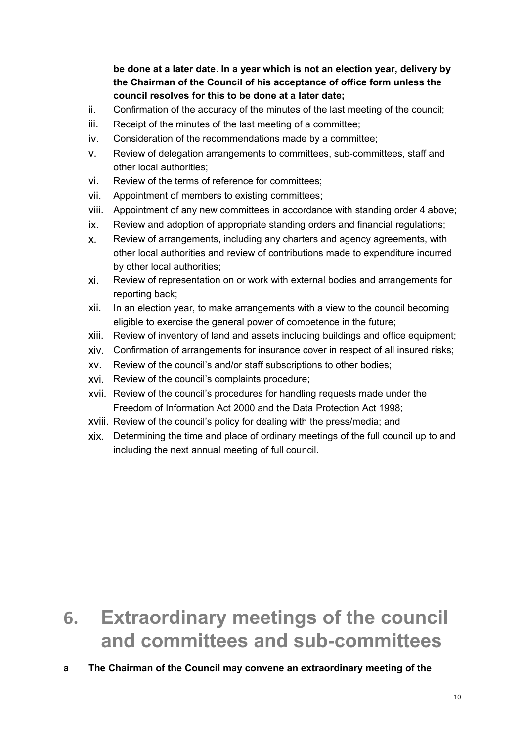**be done at a later date**. **In a year which is not an election year, delivery by the Chairman of the Council of his acceptance of office form unless the council resolves for this to be done at a later date;**

- ii. Confirmation of the accuracy of the minutes of the last meeting of the council;
- iii. Receipt of the minutes of the last meeting of a committee;
- iv. Consideration of the recommendations made by a committee;
- v. Review of delegation arrangements to committees, sub-committees, staff and other local authorities;
- vi. Review of the terms of reference for committees;
- vii. Appointment of members to existing committees;
- viii. Appointment of any new committees in accordance with standing order 4 above;
- ix. Review and adoption of appropriate standing orders and financial regulations;
- x. Review of arrangements, including any charters and agency agreements, with other local authorities and review of contributions made to expenditure incurred by other local authorities;
- xi. Review of representation on or work with external bodies and arrangements for reporting back;
- xii. In an election year, to make arrangements with a view to the council becoming eligible to exercise the general power of competence in the future;
- xiii. Review of inventory of land and assets including buildings and office equipment;
- xiv. Confirmation of arrangements for insurance cover in respect of all insured risks;
- xv. Review of the council's and/or staff subscriptions to other bodies;
- xvi. Review of the council's complaints procedure;
- xvii. Review of the council's procedures for handling requests made under the Freedom of Information Act 2000 and the Data Protection Act 1998;
- xviii. Review of the council's policy for dealing with the press/media; and
- xix. Determining the time and place of ordinary meetings of the full council up to and including the next annual meeting of full council.

#### **6. Extraordinary meetings of the council and committees and sub-committees**

#### **a The Chairman of the Council may convene an extraordinary meeting of the**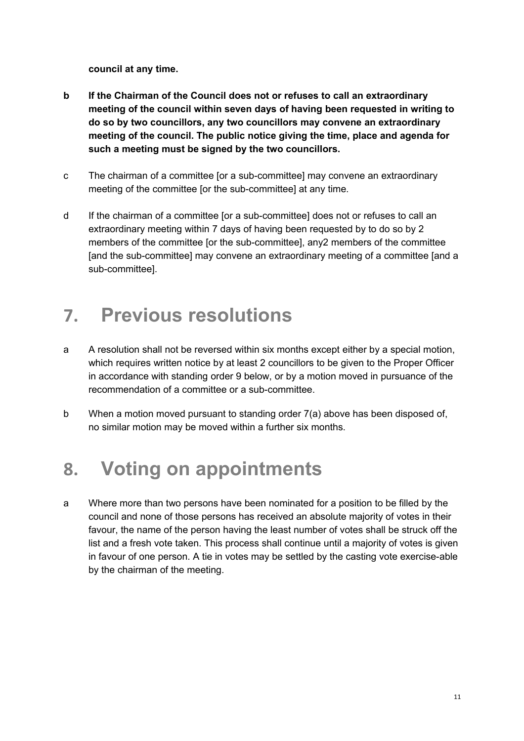**council at any time.** 

- **b If the Chairman of the Council does not or refuses to call an extraordinary meeting of the council within seven days of having been requested in writing to do so by two councillors, any two councillors may convene an extraordinary meeting of the council. The public notice giving the time, place and agenda for such a meeting must be signed by the two councillors.**
- c The chairman of a committee [or a sub-committee] may convene an extraordinary meeting of the committee [or the sub-committee] at any time.
- d If the chairman of a committee [or a sub-committee] does not or refuses to call an extraordinary meeting within 7 days of having been requested by to do so by 2 members of the committee [or the sub-committee], any2 members of the committee [and the sub-committee] may convene an extraordinary meeting of a committee [and a sub-committee].

#### **7. Previous resolutions**

- a A resolution shall not be reversed within six months except either by a special motion, which requires written notice by at least 2 councillors to be given to the Proper Officer in accordance with standing order 9 below, or by a motion moved in pursuance of the recommendation of a committee or a sub-committee.
- b When a motion moved pursuant to standing order 7(a) above has been disposed of, no similar motion may be moved within a further six months.

#### **8. Voting on appointments**

a Where more than two persons have been nominated for a position to be filled by the council and none of those persons has received an absolute majority of votes in their favour, the name of the person having the least number of votes shall be struck off the list and a fresh vote taken. This process shall continue until a majority of votes is given in favour of one person. A tie in votes may be settled by the casting vote exercise-able by the chairman of the meeting.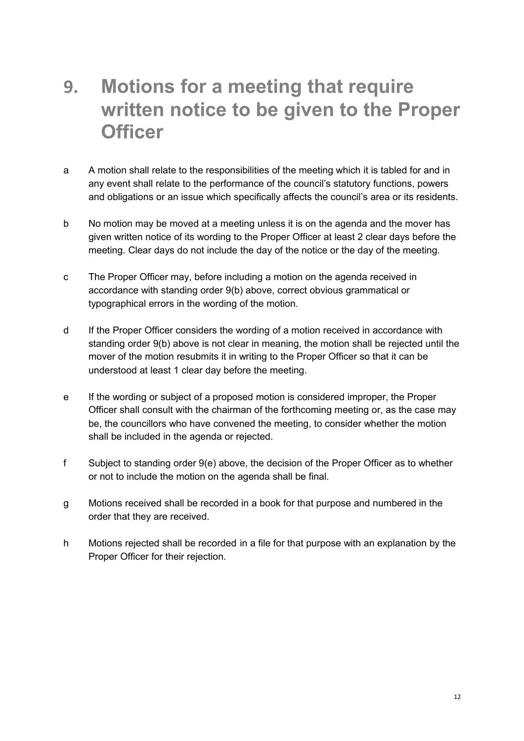#### **9. Motions for a meeting that require written notice to be given to the Proper Officer**

- a A motion shall relate to the responsibilities of the meeting which it is tabled for and in any event shall relate to the performance of the council's statutory functions, powers and obligations or an issue which specifically affects the council's area or its residents.
- b No motion may be moved at a meeting unless it is on the agenda and the mover has given written notice of its wording to the Proper Officer at least 2 clear days before the meeting. Clear days do not include the day of the notice or the day of the meeting.
- c The Proper Officer may, before including a motion on the agenda received in accordance with standing order 9(b) above, correct obvious grammatical or typographical errors in the wording of the motion.
- d If the Proper Officer considers the wording of a motion received in accordance with standing order 9(b) above is not clear in meaning, the motion shall be rejected until the mover of the motion resubmits it in writing to the Proper Officer so that it can be understood at least 1 clear day before the meeting.
- e If the wording or subject of a proposed motion is considered improper, the Proper Officer shall consult with the chairman of the forthcoming meeting or, as the case may be, the councillors who have convened the meeting, to consider whether the motion shall be included in the agenda or rejected.
- f Subject to standing order 9(e) above, the decision of the Proper Officer as to whether or not to include the motion on the agenda shall be final.
- g Motions received shall be recorded in a book for that purpose and numbered in the order that they are received.
- h Motions rejected shall be recorded in a file for that purpose with an explanation by the Proper Officer for their rejection.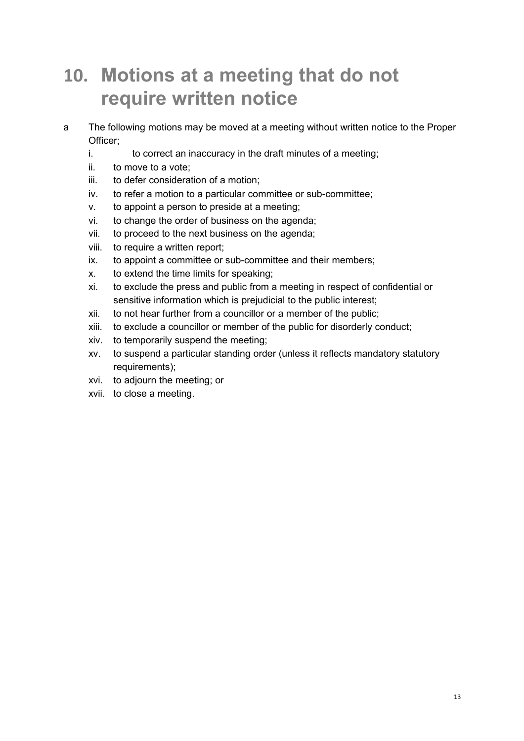#### **10. Motions at a meeting that do not require written notice**

- a The following motions may be moved at a meeting without written notice to the Proper Officer;
	- i. to correct an inaccuracy in the draft minutes of a meeting;
	- ii. to move to a vote;
	- iii. to defer consideration of a motion;
	- iv. to refer a motion to a particular committee or sub-committee;
	- v. to appoint a person to preside at a meeting;
	- vi. to change the order of business on the agenda;
	- vii. to proceed to the next business on the agenda;
	- viii. to require a written report;
	- ix. to appoint a committee or sub-committee and their members;
	- x. to extend the time limits for speaking;
	- xi. to exclude the press and public from a meeting in respect of confidential or sensitive information which is prejudicial to the public interest;
	- xii. to not hear further from a councillor or a member of the public;
	- xiii. to exclude a councillor or member of the public for disorderly conduct;
	- xiv. to temporarily suspend the meeting;
	- xv. to suspend a particular standing order (unless it reflects mandatory statutory requirements);
	- xvi. to adjourn the meeting; or
	- xvii. to close a meeting.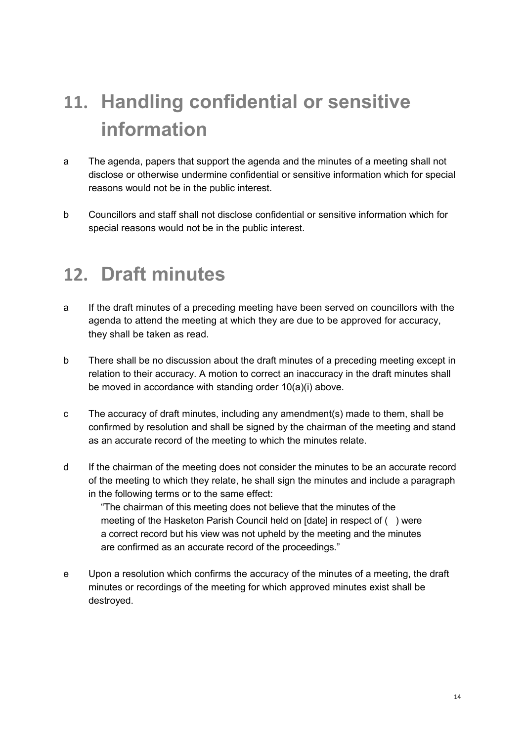# **11. Handling confidential or sensitive information**

- a The agenda, papers that support the agenda and the minutes of a meeting shall not disclose or otherwise undermine confidential or sensitive information which for special reasons would not be in the public interest.
- b Councillors and staff shall not disclose confidential or sensitive information which for special reasons would not be in the public interest.

#### **12. Draft minutes**

- a If the draft minutes of a preceding meeting have been served on councillors with the agenda to attend the meeting at which they are due to be approved for accuracy, they shall be taken as read.
- b There shall be no discussion about the draft minutes of a preceding meeting except in relation to their accuracy. A motion to correct an inaccuracy in the draft minutes shall be moved in accordance with standing order 10(a)(i) above.
- c The accuracy of draft minutes, including any amendment(s) made to them, shall be confirmed by resolution and shall be signed by the chairman of the meeting and stand as an accurate record of the meeting to which the minutes relate.
- d If the chairman of the meeting does not consider the minutes to be an accurate record of the meeting to which they relate, he shall sign the minutes and include a paragraph in the following terms or to the same effect:

"The chairman of this meeting does not believe that the minutes of the meeting of the Hasketon Parish Council held on [date] in respect of ( ) were a correct record but his view was not upheld by the meeting and the minutes are confirmed as an accurate record of the proceedings."

e Upon a resolution which confirms the accuracy of the minutes of a meeting, the draft minutes or recordings of the meeting for which approved minutes exist shall be destroyed.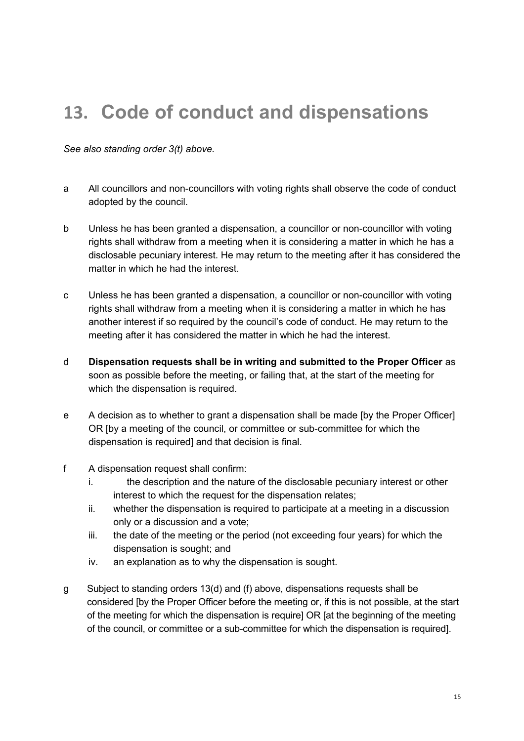#### **13. Code of conduct and dispensations**

*See also standing order 3(t) above.* 

- a All councillors and non-councillors with voting rights shall observe the code of conduct adopted by the council.
- b Unless he has been granted a dispensation, a councillor or non-councillor with voting rights shall withdraw from a meeting when it is considering a matter in which he has a disclosable pecuniary interest. He may return to the meeting after it has considered the matter in which he had the interest.
- c Unless he has been granted a dispensation, a councillor or non-councillor with voting rights shall withdraw from a meeting when it is considering a matter in which he has another interest if so required by the council's code of conduct. He may return to the meeting after it has considered the matter in which he had the interest.
- d **Dispensation requests shall be in writing and submitted to the Proper Officer** as soon as possible before the meeting, or failing that, at the start of the meeting for which the dispensation is required.
- e A decision as to whether to grant a dispensation shall be made [by the Proper Officer] OR [by a meeting of the council, or committee or sub-committee for which the dispensation is required] and that decision is final.
- f A dispensation request shall confirm:
	- i. the description and the nature of the disclosable pecuniary interest or other interest to which the request for the dispensation relates;
	- ii. whether the dispensation is required to participate at a meeting in a discussion only or a discussion and a vote;
	- iii. the date of the meeting or the period (not exceeding four years) for which the dispensation is sought; and
	- iv. an explanation as to why the dispensation is sought.
- g Subject to standing orders 13(d) and (f) above, dispensations requests shall be considered [by the Proper Officer before the meeting or, if this is not possible, at the start of the meeting for which the dispensation is require] OR [at the beginning of the meeting of the council, or committee or a sub-committee for which the dispensation is required].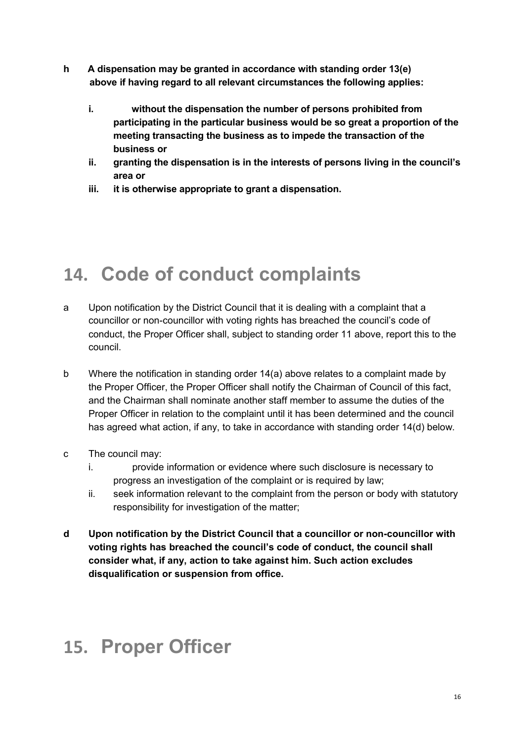- **h A dispensation may be granted in accordance with standing order 13(e) above if having regard to all relevant circumstances the following applies:** 
	- **i. without the dispensation the number of persons prohibited from participating in the particular business would be so great a proportion of the meeting transacting the business as to impede the transaction of the business or**
	- **ii. granting the dispensation is in the interests of persons living in the council's area or**
	- **iii. it is otherwise appropriate to grant a dispensation.**

#### **14. Code of conduct complaints**

- a Upon notification by the District Council that it is dealing with a complaint that a councillor or non-councillor with voting rights has breached the council's code of conduct, the Proper Officer shall, subject to standing order 11 above, report this to the council.
- b Where the notification in standing order 14(a) above relates to a complaint made by the Proper Officer, the Proper Officer shall notify the Chairman of Council of this fact, and the Chairman shall nominate another staff member to assume the duties of the Proper Officer in relation to the complaint until it has been determined and the council has agreed what action, if any, to take in accordance with standing order 14(d) below.
- c The council may:
	- i. provide information or evidence where such disclosure is necessary to progress an investigation of the complaint or is required by law;
	- ii. seek information relevant to the complaint from the person or body with statutory responsibility for investigation of the matter;
- **d Upon notification by the District Council that a councillor or non-councillor with voting rights has breached the council's code of conduct, the council shall consider what, if any, action to take against him. Such action excludes disqualification or suspension from office.**

#### **15. Proper Officer**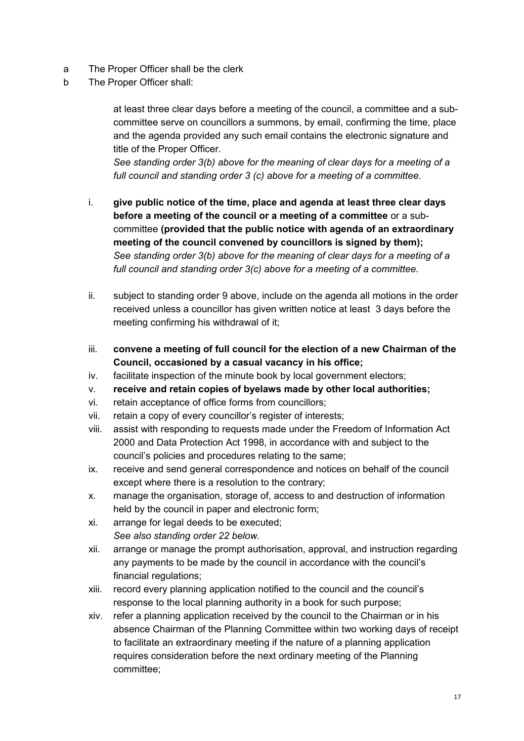- a The Proper Officer shall be the clerk
- b The Proper Officer shall:

at least three clear days before a meeting of the council, a committee and a subcommittee serve on councillors a summons, by email, confirming the time, place and the agenda provided any such email contains the electronic signature and title of the Proper Officer.

*See standing order 3(b) above for the meaning of clear days for a meeting of a full council and standing order 3 (c) above for a meeting of a committee.*

- i. **give public notice of the time, place and agenda at least three clear days before a meeting of the council or a meeting of a committee** or a subcommittee **(provided that the public notice with agenda of an extraordinary meeting of the council convened by councillors is signed by them);** *See standing order 3(b) above for the meaning of clear days for a meeting of a full council and standing order 3(c) above for a meeting of a committee.*
- ii. subject to standing order 9 above, include on the agenda all motions in the order received unless a councillor has given written notice at least 3 days before the meeting confirming his withdrawal of it;
- iii. **convene a meeting of full council for the election of a new Chairman of the Council, occasioned by a casual vacancy in his office;**
- iv. facilitate inspection of the minute book by local government electors;
- v. **receive and retain copies of byelaws made by other local authorities;**
- vi. retain acceptance of office forms from councillors;
- vii. retain a copy of every councillor's register of interests;
- viii. assist with responding to requests made under the Freedom of Information Act 2000 and Data Protection Act 1998, in accordance with and subject to the council's policies and procedures relating to the same;
- ix. receive and send general correspondence and notices on behalf of the council except where there is a resolution to the contrary;
- x. manage the organisation, storage of, access to and destruction of information held by the council in paper and electronic form;
- xi. arrange for legal deeds to be executed; *See also standing order 22 below.*
- xii. arrange or manage the prompt authorisation, approval, and instruction regarding any payments to be made by the council in accordance with the council's financial regulations;
- xiii. record every planning application notified to the council and the council's response to the local planning authority in a book for such purpose;
- xiv. refer a planning application received by the council to the Chairman or in his absence Chairman of the Planning Committee within two working days of receipt to facilitate an extraordinary meeting if the nature of a planning application requires consideration before the next ordinary meeting of the Planning committee;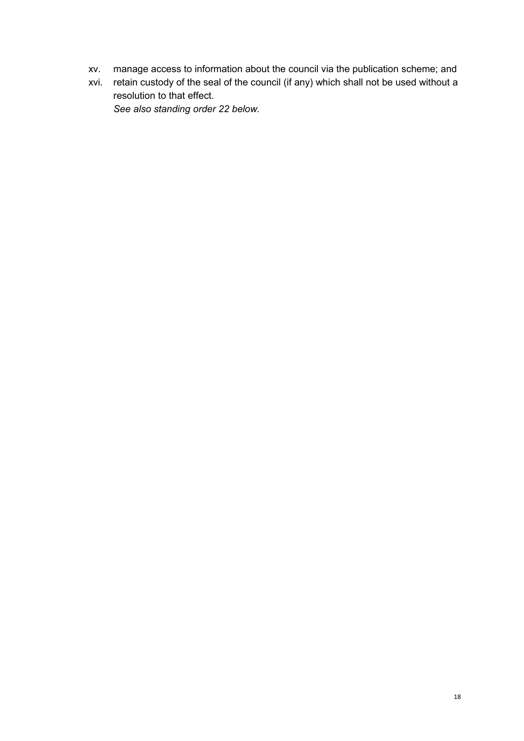- xv. manage access to information about the council via the publication scheme; and
- xvi. retain custody of the seal of the council (if any) which shall not be used without a resolution to that effect.

*See also standing order 22 below.*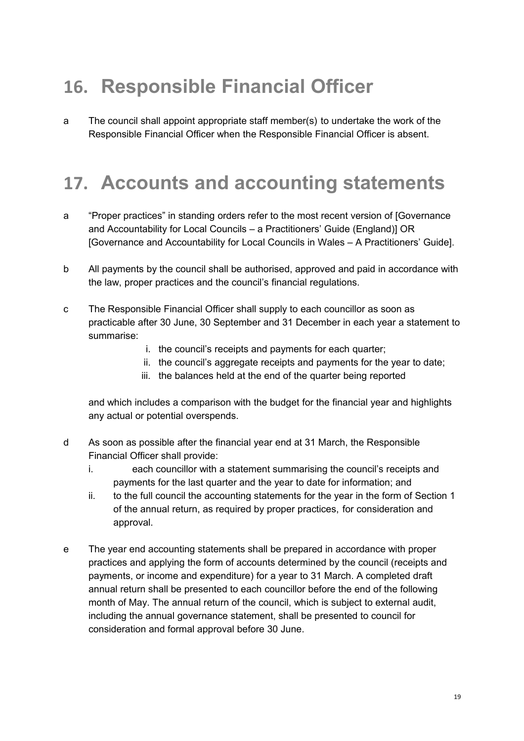## **16. Responsible Financial Officer**

a The council shall appoint appropriate staff member(s) to undertake the work of the Responsible Financial Officer when the Responsible Financial Officer is absent.

#### **17. Accounts and accounting statements**

- a "Proper practices" in standing orders refer to the most recent version of [Governance and Accountability for Local Councils – a Practitioners' Guide (England)] OR [Governance and Accountability for Local Councils in Wales – A Practitioners' Guide].
- b All payments by the council shall be authorised, approved and paid in accordance with the law, proper practices and the council's financial regulations.
- c The Responsible Financial Officer shall supply to each councillor as soon as practicable after 30 June, 30 September and 31 December in each year a statement to summarise:
	- i. the council's receipts and payments for each quarter;
	- ii. the council's aggregate receipts and payments for the year to date;
	- iii. the balances held at the end of the quarter being reported

and which includes a comparison with the budget for the financial year and highlights any actual or potential overspends.

- d As soon as possible after the financial year end at 31 March, the Responsible Financial Officer shall provide:
	- i. each councillor with a statement summarising the council's receipts and payments for the last quarter and the year to date for information; and
	- ii. to the full council the accounting statements for the year in the form of Section 1 of the annual return, as required by proper practices, for consideration and approval.
- e The year end accounting statements shall be prepared in accordance with proper practices and applying the form of accounts determined by the council (receipts and payments, or income and expenditure) for a year to 31 March. A completed draft annual return shall be presented to each councillor before the end of the following month of May. The annual return of the council, which is subject to external audit, including the annual governance statement, shall be presented to council for consideration and formal approval before 30 June.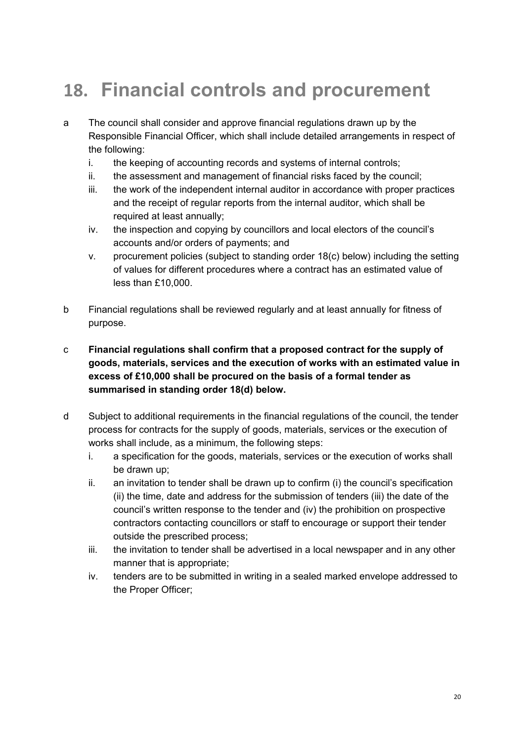## **18. Financial controls and procurement**

- a The council shall consider and approve financial regulations drawn up by the Responsible Financial Officer, which shall include detailed arrangements in respect of the following:
	- i. the keeping of accounting records and systems of internal controls;
	- ii. the assessment and management of financial risks faced by the council;
	- iii. the work of the independent internal auditor in accordance with proper practices and the receipt of regular reports from the internal auditor, which shall be required at least annually;
	- iv. the inspection and copying by councillors and local electors of the council's accounts and/or orders of payments; and
	- v. procurement policies (subject to standing order 18(c) below) including the setting of values for different procedures where a contract has an estimated value of less than £10,000.
- b Financial regulations shall be reviewed regularly and at least annually for fitness of purpose.

#### c **Financial regulations shall confirm that a proposed contract for the supply of goods, materials, services and the execution of works with an estimated value in excess of £10,000 shall be procured on the basis of a formal tender as summarised in standing order 18(d) below.**

- d Subject to additional requirements in the financial regulations of the council, the tender process for contracts for the supply of goods, materials, services or the execution of works shall include, as a minimum, the following steps:
	- i. a specification for the goods, materials, services or the execution of works shall be drawn up;
	- ii. an invitation to tender shall be drawn up to confirm (i) the council's specification (ii) the time, date and address for the submission of tenders (iii) the date of the council's written response to the tender and (iv) the prohibition on prospective contractors contacting councillors or staff to encourage or support their tender outside the prescribed process;
	- iii. the invitation to tender shall be advertised in a local newspaper and in any other manner that is appropriate;
	- iv. tenders are to be submitted in writing in a sealed marked envelope addressed to the Proper Officer;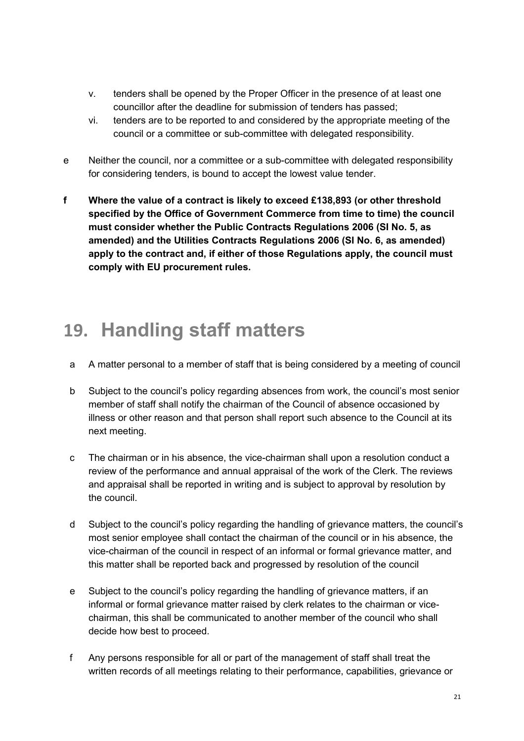- v. tenders shall be opened by the Proper Officer in the presence of at least one councillor after the deadline for submission of tenders has passed;
- vi. tenders are to be reported to and considered by the appropriate meeting of the council or a committee or sub-committee with delegated responsibility.
- e Neither the council, nor a committee or a sub-committee with delegated responsibility for considering tenders, is bound to accept the lowest value tender.
- **f Where the value of a contract is likely to exceed £138,893 (or other threshold specified by the Office of Government Commerce from time to time) the council must consider whether the Public Contracts Regulations 2006 (SI No. 5, as amended) and the Utilities Contracts Regulations 2006 (SI No. 6, as amended) apply to the contract and, if either of those Regulations apply, the council must comply with EU procurement rules.**

#### **19. Handling staff matters**

- a A matter personal to a member of staff that is being considered by a meeting of council
- b Subject to the council's policy regarding absences from work, the council's most senior member of staff shall notify the chairman of the Council of absence occasioned by illness or other reason and that person shall report such absence to the Council at its next meeting.
- c The chairman or in his absence, the vice-chairman shall upon a resolution conduct a review of the performance and annual appraisal of the work of the Clerk. The reviews and appraisal shall be reported in writing and is subject to approval by resolution by the council.
- d Subject to the council's policy regarding the handling of grievance matters, the council's most senior employee shall contact the chairman of the council or in his absence, the vice-chairman of the council in respect of an informal or formal grievance matter, and this matter shall be reported back and progressed by resolution of the council
- e Subject to the council's policy regarding the handling of grievance matters, if an informal or formal grievance matter raised by clerk relates to the chairman or vicechairman, this shall be communicated to another member of the council who shall decide how best to proceed.
- f Any persons responsible for all or part of the management of staff shall treat the written records of all meetings relating to their performance, capabilities, grievance or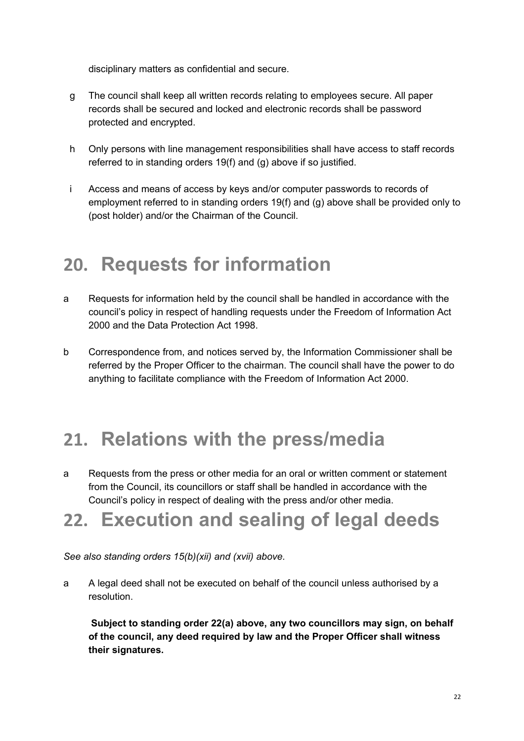disciplinary matters as confidential and secure.

- g The council shall keep all written records relating to employees secure. All paper records shall be secured and locked and electronic records shall be password protected and encrypted.
- h Only persons with line management responsibilities shall have access to staff records referred to in standing orders 19(f) and (g) above if so justified.
- i Access and means of access by keys and/or computer passwords to records of employment referred to in standing orders 19(f) and (g) above shall be provided only to (post holder) and/or the Chairman of the Council.

#### **20. Requests for information**

- a Requests for information held by the council shall be handled in accordance with the council's policy in respect of handling requests under the Freedom of Information Act 2000 and the Data Protection Act 1998.
- b Correspondence from, and notices served by, the Information Commissioner shall be referred by the Proper Officer to the chairman. The council shall have the power to do anything to facilitate compliance with the Freedom of Information Act 2000.

#### **21. Relations with the press/media**

a Requests from the press or other media for an oral or written comment or statement from the Council, its councillors or staff shall be handled in accordance with the Council's policy in respect of dealing with the press and/or other media.

#### **22. Execution and sealing of legal deeds**

*See also standing orders 15(b)(xii) and (xvii) above.*

a A legal deed shall not be executed on behalf of the council unless authorised by a resolution.

 **Subject to standing order 22(a) above, any two councillors may sign, on behalf of the council, any deed required by law and the Proper Officer shall witness their signatures.**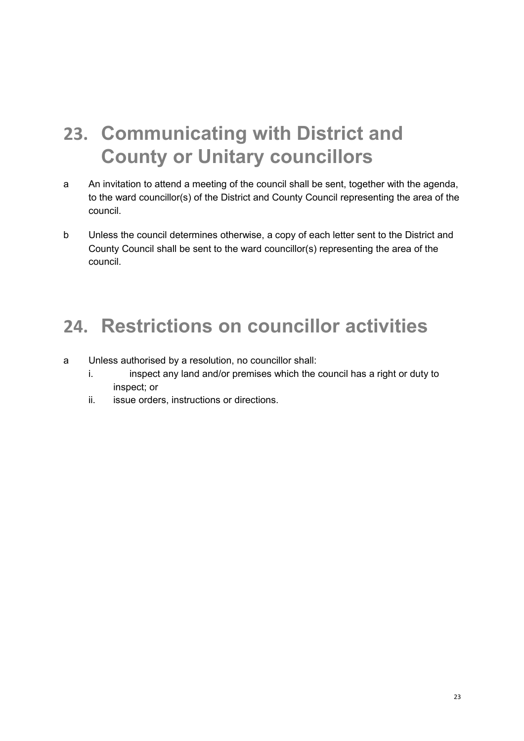## **23. Communicating with District and County or Unitary councillors**

- a An invitation to attend a meeting of the council shall be sent, together with the agenda, to the ward councillor(s) of the District and County Council representing the area of the council.
- b Unless the council determines otherwise, a copy of each letter sent to the District and County Council shall be sent to the ward councillor(s) representing the area of the council.

#### **24. Restrictions on councillor activities**

- a Unless authorised by a resolution, no councillor shall:
	- i. inspect any land and/or premises which the council has a right or duty to inspect; or
	- ii. issue orders, instructions or directions.